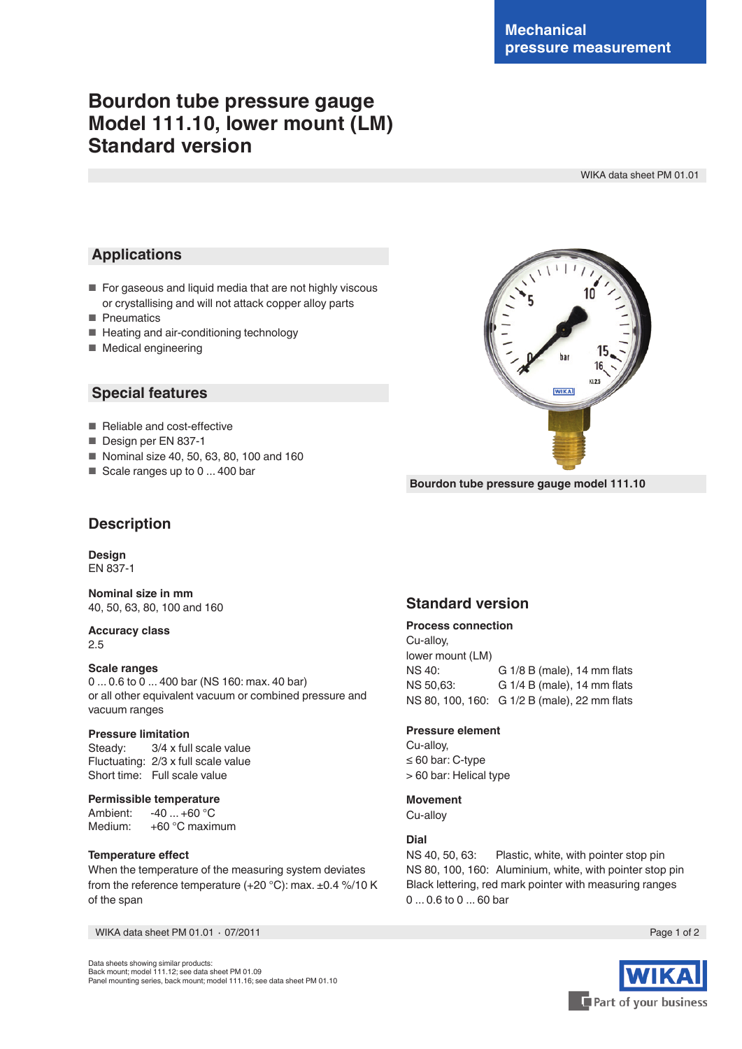**KLOS** 

**WIKA** 

# **Bourdon tube pressure gauge Model 111.10, lower mount (LM) Standard version**

WIKA data sheet PM 01.01

## **Applications**

- For gaseous and liquid media that are not highly viscous or crystallising and will not attack copper alloy parts
- Pneumatics
- Heating and air-conditioning technology
- Medical engineering

### **Special features**

- Reliable and cost-effective
- Design per EN 837-1
- Nominal size 40, 50, 63, 80, 100 and 160
- Scale ranges up to 0 ... 400 bar



## **Description**

**Design** EN 837-1

**Nominal size in mm**

40, 50, 63, 80, 100 and 160

#### **Accuracy class** 2.5

#### **Scale ranges**

0 ... 0.6 to 0 ... 400 bar (NS 160: max. 40 bar) or all other equivalent vacuum or combined pressure and vacuum ranges

#### **Pressure limitation**

Steady: 3/4 x full scale value Fluctuating: 2/3 x full scale value Short time: Full scale value

#### **Permissible temperature**

Ambient: -40 ... +60 °C Medium: +60 °C maximum

#### **Temperature efect**

When the temperature of the measuring system deviates from the reference temperature (+20 °C): max. ±0.4 %/10 K of the span

WIKA data sheet PM 01.01 ⋅ 07/2011 Page 1 of 2

Data sheets showing similar products: Back mount; model 111.12; see data sheet PM 01.09 Panel mounting series, back mount; model 111.16; see data sheet PM 01.10

## **Standard version**

#### **Process connection**

Cu-alloy, lower mount (LM) NS 40: G 1/8 B (male), 14 mm flats NS 50,63: G 1/4 B (male), 14 mm flats NS 80, 100, 160: G 1/2 B (male), 22 mm fats

#### **Pressure element**

Cu-alloy, ≤ 60 bar: C-type > 60 bar: Helical type

#### **Movement**

Cu-alloy

#### **Dial**

NS 40, 50, 63: Plastic, white, with pointer stop pin NS 80, 100, 160: Aluminium, white, with pointer stop pin Black lettering, red mark pointer with measuring ranges 0 ... 0.6 to 0 ... 60 bar